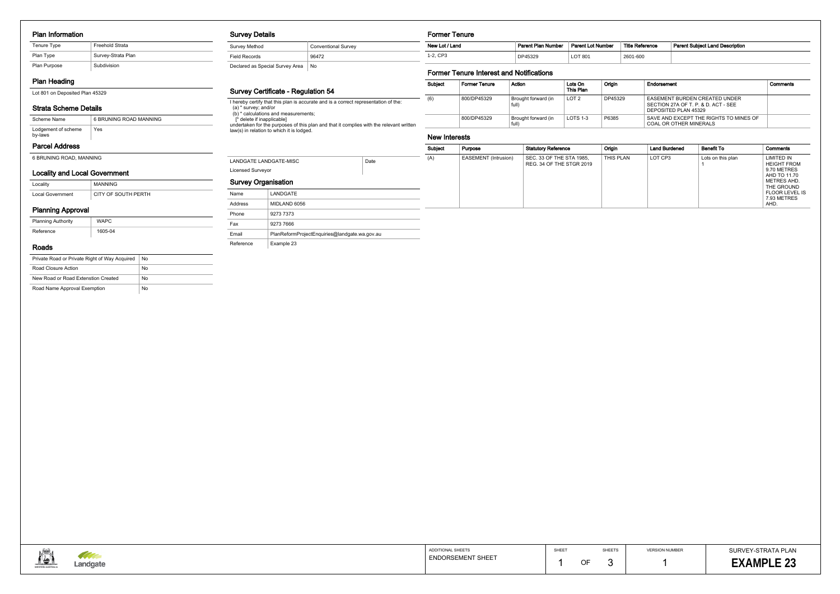#### Plan Information

| Freehold Strata<br>Tenure Type |                    |
|--------------------------------|--------------------|
| Plan Type                      | Survey-Strata Plan |
| Plan Purpose                   | Subdivision        |

# Plan Heading

Lot 801 on Deposited Plan 45329

## Strata Scheme Details

## Parcel Address

6 BRUNING ROAD, MANNING

| Scheme Name                    | 6 BRUNING ROAD MANNING |
|--------------------------------|------------------------|
| Lodgement of scheme<br>by-laws | Yes                    |

# Locality and Local Government

| Locality         | <b>MANNING</b>      |
|------------------|---------------------|
| Local Government | CITY OF SOUTH PERTH |

# Planning Approval

| <b>Planning Authority</b> | WAPC    |
|---------------------------|---------|
| Reference                 | 1605-04 |

#### Roads

| Private Road or Private Right of Way Acquired | No |
|-----------------------------------------------|----|
| Road Closure Action                           | No |
| New Road or Road Extenstion Created           | No |
| Road Name Approval Exemption                  | No |

## Survey Details

| Survey Method                   | <b>Conventional Survey</b> |
|---------------------------------|----------------------------|
| <b>Field Records</b>            | 96472                      |
| Declared as Special Survey Area | No.                        |

# Survey Certificate - Regulation 54

I hereby certify that this plan is accurate and is a correct representation of the: (a) \* survey; and/or (b) \* calculations and measurements; [\* delete if inapplicable] undertaken for the purposes of this plan and that it complies with the relevant written law(s) in relation to which it is lodged.

| LANDGATE                                      |
|-----------------------------------------------|
| MIDLAND 6056                                  |
| 9273 7373                                     |
| 9273 7666                                     |
| PlanReformProjectEnguiries@landgate.wa.gov.au |
| Example 23                                    |
|                                               |



#### Former Tenure

# Former Tenure Interest and Notifications

|                                                    |              |      | Subject | Purpose                     | <b>Statutory Reference</b>                           | Origin    | <b>Land Burdened</b> | <b>Benefit To</b> | Comments                                                               |
|----------------------------------------------------|--------------|------|---------|-----------------------------|------------------------------------------------------|-----------|----------------------|-------------------|------------------------------------------------------------------------|
| LANDGATE LANDGATE-MISC<br><b>Licensed Surveyor</b> |              | Date | (A)     | <b>EASEMENT</b> (Intrusion) | SEC. 33 OF THE STA 1985,<br>REG. 34 OF THE STGR 2019 | THIS PLAN | LOT CP3              | Lots on this plan | <b>LIMITED IN</b><br><b>HEIGHT FROM</b><br>9.70 METRES<br>AHD TO 11.70 |
| <b>Survey Organisation</b>                         |              |      |         |                             |                                                      |           |                      |                   | METRES AHD.<br>THE GROUND                                              |
| Name                                               | LANDGATE     |      |         |                             |                                                      |           |                      |                   | <b>FLOOR LEVEL IS</b><br>7.93 METRES                                   |
| Address                                            | MIDLAND 6056 |      |         |                             |                                                      |           |                      |                   | AHD.                                                                   |

| <b>Subiect</b> | <b>Former Tenure</b> | Action                       | Lots On<br>This Plan | Oriain  | Endorsement                                                                                  | Comments |
|----------------|----------------------|------------------------------|----------------------|---------|----------------------------------------------------------------------------------------------|----------|
| (6)            | 800/DP45329          | Brought forward (in<br>full) | LOT <sub>2</sub>     | DP45329 | EASEMENT BURDEN CREATED UNDER<br>SECTION 27A OF T. P. & D. ACT - SEE<br>DEPOSITED PLAN 45329 |          |
|                | 800/DP45329          | Brought forward (in<br>full) | LOTS 1-3             | P6385   | SAVE AND EXCEPT THE RIGHTS TO MINES OF<br>COAL OR OTHER MINERALS                             |          |

| New Lot / Land | <b>Parent Plan Number</b> | <b>Parent Lot Number</b> | Title Reference | <b>Parent Subiect Land Description</b> |
|----------------|---------------------------|--------------------------|-----------------|----------------------------------------|
| 1-2. CP3       | DP45329                   | LOT 801                  | 2601-600        |                                        |

## New Interests

| Reference | <b>Parent Subject Land Description</b> |
|-----------|----------------------------------------|
| $-600$    |                                        |

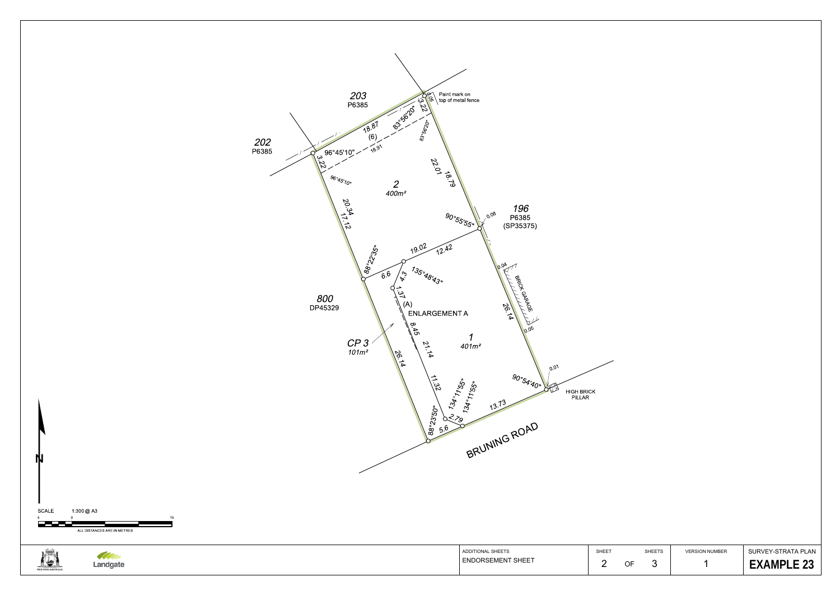

1